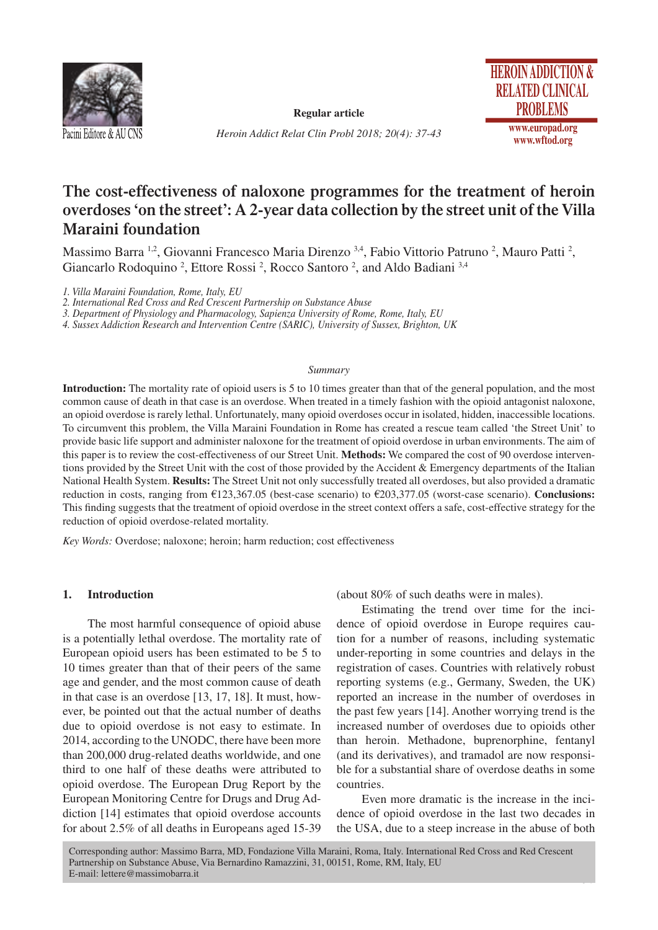

**Regular article**

*Heroin Addict Relat Clin Probl 2018; 20(4): 37-43*



# **The cost-effectiveness of naloxone programmes for the treatment of heroin overdoses 'on the street': A 2-year data collection by the street unit of the Villa Maraini foundation**

Massimo Barra <sup>1,2</sup>, Giovanni Francesco Maria Direnzo <sup>3,4</sup>, Fabio Vittorio Patruno <sup>2</sup>, Mauro Patti <sup>2</sup>, Giancarlo Rodoquino<sup>2</sup>, Ettore Rossi<sup>2</sup>, Rocco Santoro<sup>2</sup>, and Aldo Badiani<sup>3,4</sup>

*1. Villa Maraini Foundation, Rome, Italy, EU*

*2. International Red Cross and Red Crescent Partnership on Substance Abuse*

*3. Department of Physiology and Pharmacology, Sapienza University of Rome, Rome, Italy, EU*

*4. Sussex Addiction Research and Intervention Centre (SARIC), University of Sussex, Brighton, UK*

#### *Summary*

**Introduction:** The mortality rate of opioid users is 5 to 10 times greater than that of the general population, and the most common cause of death in that case is an overdose. When treated in a timely fashion with the opioid antagonist naloxone, an opioid overdose is rarely lethal. Unfortunately, many opioid overdoses occur in isolated, hidden, inaccessible locations. To circumvent this problem, the Villa Maraini Foundation in Rome has created a rescue team called 'the Street Unit' to provide basic life support and administer naloxone for the treatment of opioid overdose in urban environments. The aim of this paper is to review the cost-effectiveness of our Street Unit. **Methods:** We compared the cost of 90 overdose interventions provided by the Street Unit with the cost of those provided by the Accident & Emergency departments of the Italian National Health System. **Results:** The Street Unit not only successfully treated all overdoses, but also provided a dramatic reduction in costs, ranging from €123,367.05 (best-case scenario) to €203,377.05 (worst-case scenario). **Conclusions:** This finding suggests that the treatment of opioid overdose in the street context offers a safe, cost-effective strategy for the reduction of opioid overdose-related mortality.

*Key Words:* Overdose; naloxone; heroin; harm reduction; cost effectiveness

#### **1. Introduction**

The most harmful consequence of opioid abuse is a potentially lethal overdose. The mortality rate of European opioid users has been estimated to be 5 to 10 times greater than that of their peers of the same age and gender, and the most common cause of death in that case is an overdose [13, 17, 18]. It must, however, be pointed out that the actual number of deaths due to opioid overdose is not easy to estimate. In 2014, according to the UNODC, there have been more than 200,000 drug-related deaths worldwide, and one third to one half of these deaths were attributed to opioid overdose. The European Drug Report by the European Monitoring Centre for Drugs and Drug Addiction [14] estimates that opioid overdose accounts for about 2.5% of all deaths in Europeans aged 15-39

(about 80% of such deaths were in males).

Estimating the trend over time for the incidence of opioid overdose in Europe requires caution for a number of reasons, including systematic under-reporting in some countries and delays in the registration of cases. Countries with relatively robust reporting systems (e.g., Germany, Sweden, the UK) reported an increase in the number of overdoses in the past few years [14]. Another worrying trend is the increased number of overdoses due to opioids other than heroin. Methadone, buprenorphine, fentanyl (and its derivatives), and tramadol are now responsible for a substantial share of overdose deaths in some countries.

Even more dramatic is the increase in the incidence of opioid overdose in the last two decades in the USA, due to a steep increase in the abuse of both

37

Corresponding author: Massimo Barra, MD, Fondazione Villa Maraini, Roma, Italy. International Red Cross and Red Crescent Partnership on Substance Abuse, Via Bernardino Ramazzini, 31, 00151, Rome, RM, Italy, EU E-mail: lettere@massimobarra.it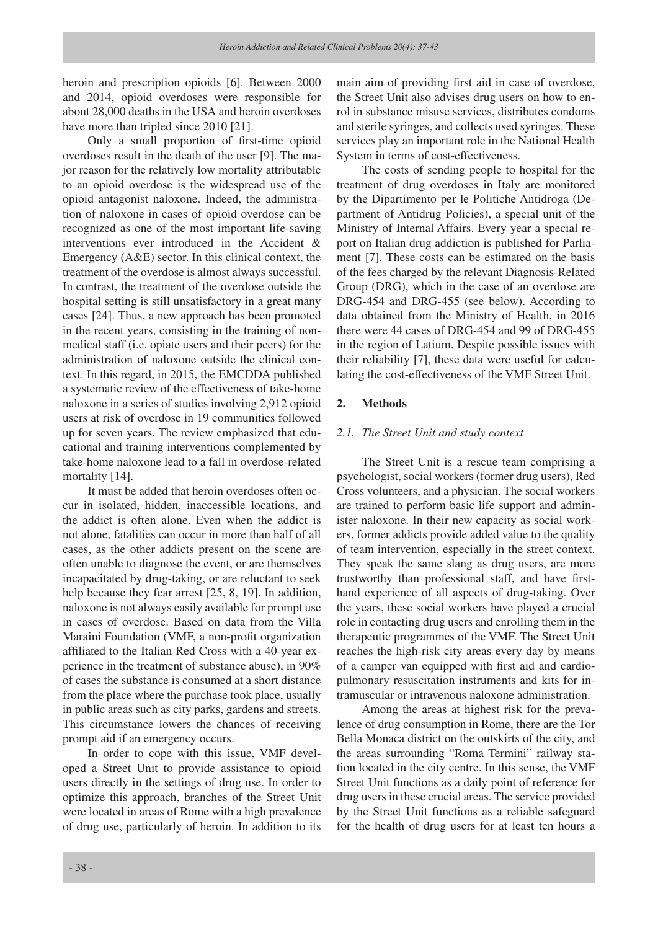heroin and prescription opioids [6]. Between 2000 and 2014, opioid overdoses were responsible for about 28,000 deaths in the USA and heroin overdoses have more than tripled since 2010 [21].

Only a small proportion of first-time opioid overdoses result in the death of the user [9]. The major reason for the relatively low mortality attributable to an opioid overdose is the widespread use of the opioid antagonist naloxone. Indeed, the administration of naloxone in cases of opioid overdose can be recognized as one of the most important life-saving interventions ever introduced in the Accident & Emergency (A&E) sector. In this clinical context, the treatment of the overdose is almost always successful. In contrast, the treatment of the overdose outside the hospital setting is still unsatisfactory in a great many cases [24]. Thus, a new approach has been promoted in the recent years, consisting in the training of nonmedical staff (i.e. opiate users and their peers) for the administration of naloxone outside the clinical context. In this regard, in 2015, the EMCDDA published a systematic review of the effectiveness of take-home naloxone in a series of studies involving 2,912 opioid users at risk of overdose in 19 communities followed up for seven years. The review emphasized that educational and training interventions complemented by take-home naloxone lead to a fall in overdose-related mortality [14].

It must be added that heroin overdoses often occur in isolated, hidden, inaccessible locations, and the addict is often alone. Even when the addict is not alone, fatalities can occur in more than half of all cases, as the other addicts present on the scene are often unable to diagnose the event, or are themselves incapacitated by drug-taking, or are reluctant to seek help because they fear arrest [25, 8, 19]. In addition, naloxone is not always easily available for prompt use in cases of overdose. Based on data from the Villa Maraini Foundation (VMF, a non-profit organization affiliated to the Italian Red Cross with a 40-year experience in the treatment of substance abuse), in 90% of cases the substance is consumed at a short distance from the place where the purchase took place, usually in public areas such as city parks, gardens and streets. This circumstance lowers the chances of receiving prompt aid if an emergency occurs.

In order to cope with this issue, VMF developed a Street Unit to provide assistance to opioid users directly in the settings of drug use. In order to optimize this approach, branches of the Street Unit were located in areas of Rome with a high prevalence of drug use, particularly of heroin. In addition to its main aim of providing first aid in case of overdose, the Street Unit also advises drug users on how to enrol in substance misuse services, distributes condoms and sterile syringes, and collects used syringes. These services play an important role in the National Health System in terms of cost-effectiveness.

The costs of sending people to hospital for the treatment of drug overdoses in Italy are monitored by the Dipartimento per le Politiche Antidroga (Department of Antidrug Policies), a special unit of the Ministry of Internal Affairs. Every year a special report on Italian drug addiction is published for Parliament [7]. These costs can be estimated on the basis of the fees charged by the relevant Diagnosis-Related Group (DRG), which in the case of an overdose are DRG-454 and DRG-455 (see below). According to data obtained from the Ministry of Health, in 2016 there were 44 cases of DRG-454 and 99 of DRG-455 in the region of Latium. Despite possible issues with their reliability [7], these data were useful for calculating the cost-effectiveness of the VMF Street Unit.

#### **2. Methods**

#### *2.1. The Street Unit and study context*

The Street Unit is a rescue team comprising a psychologist, social workers (former drug users), Red Cross volunteers, and a physician. The social workers are trained to perform basic life support and administer naloxone. In their new capacity as social workers, former addicts provide added value to the quality of team intervention, especially in the street context. They speak the same slang as drug users, are more trustworthy than professional staff, and have firsthand experience of all aspects of drug-taking. Over the years, these social workers have played a crucial role in contacting drug users and enrolling them in the therapeutic programmes of the VMF. The Street Unit reaches the high-risk city areas every day by means of a camper van equipped with first aid and cardiopulmonary resuscitation instruments and kits for intramuscular or intravenous naloxone administration.

Among the areas at highest risk for the prevalence of drug consumption in Rome, there are the Tor Bella Monaca district on the outskirts of the city, and the areas surrounding "Roma Termini" railway station located in the city centre. In this sense, the VMF Street Unit functions as a daily point of reference for drug users in these crucial areas. The service provided by the Street Unit functions as a reliable safeguard for the health of drug users for at least ten hours a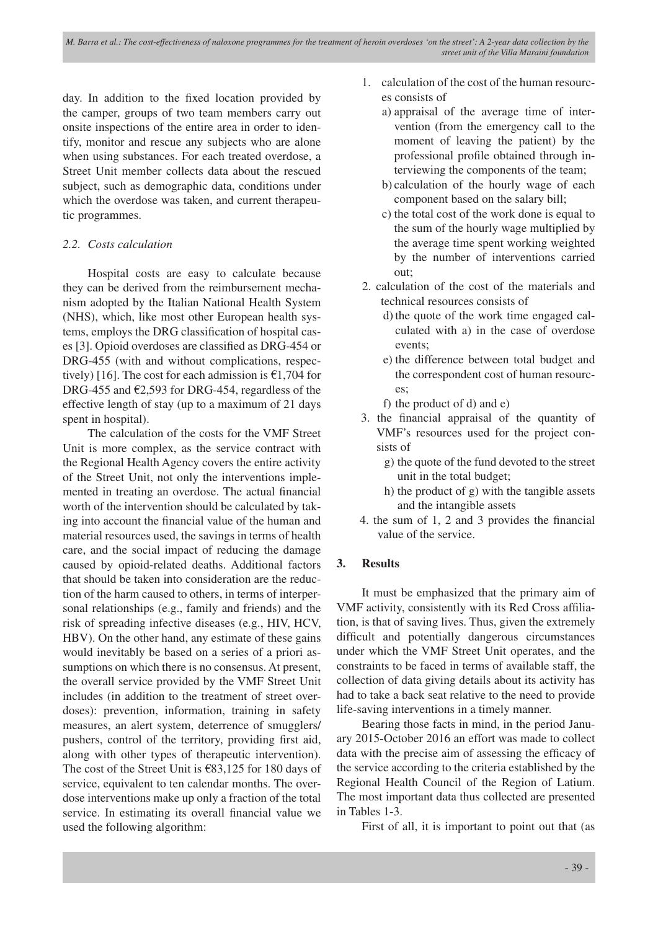day. In addition to the fixed location provided by the camper, groups of two team members carry out onsite inspections of the entire area in order to identify, monitor and rescue any subjects who are alone when using substances. For each treated overdose, a Street Unit member collects data about the rescued subject, such as demographic data, conditions under which the overdose was taken, and current therapeutic programmes.

# *2.2. Costs calculation*

Hospital costs are easy to calculate because they can be derived from the reimbursement mechanism adopted by the Italian National Health System (NHS), which, like most other European health systems, employs the DRG classification of hospital cases [3]. Opioid overdoses are classified as DRG-454 or DRG-455 (with and without complications, respectively) [16]. The cost for each admission is  $\epsilon$ 1,704 for DRG-455 and  $\epsilon$ 2,593 for DRG-454, regardless of the effective length of stay (up to a maximum of 21 days spent in hospital).

The calculation of the costs for the VMF Street Unit is more complex, as the service contract with the Regional Health Agency covers the entire activity of the Street Unit, not only the interventions implemented in treating an overdose. The actual financial worth of the intervention should be calculated by taking into account the financial value of the human and material resources used, the savings in terms of health care, and the social impact of reducing the damage caused by opioid-related deaths. Additional factors that should be taken into consideration are the reduction of the harm caused to others, in terms of interpersonal relationships (e.g., family and friends) and the risk of spreading infective diseases (e.g., HIV, HCV, HBV). On the other hand, any estimate of these gains would inevitably be based on a series of a priori assumptions on which there is no consensus. At present, the overall service provided by the VMF Street Unit includes (in addition to the treatment of street overdoses): prevention, information, training in safety measures, an alert system, deterrence of smugglers/ pushers, control of the territory, providing first aid, along with other types of therapeutic intervention). The cost of the Street Unit is €83,125 for 180 days of service, equivalent to ten calendar months. The overdose interventions make up only a fraction of the total service. In estimating its overall financial value we used the following algorithm:

- 1. calculation of the cost of the human resources consists of
	- a) appraisal of the average time of intervention (from the emergency call to the moment of leaving the patient) by the professional profile obtained through interviewing the components of the team;
	- b) calculation of the hourly wage of each component based on the salary bill;
	- c) the total cost of the work done is equal to the sum of the hourly wage multiplied by the average time spent working weighted by the number of interventions carried out;
- 2. calculation of the cost of the materials and technical resources consists of
	- d) the quote of the work time engaged calculated with a) in the case of overdose events;
	- e) the difference between total budget and the correspondent cost of human resources;
	- f) the product of d) and e)
- 3. the financial appraisal of the quantity of VMF's resources used for the project consists of
	- g) the quote of the fund devoted to the street unit in the total budget;
	- h) the product of g) with the tangible assets and the intangible assets
- 4. the sum of 1, 2 and 3 provides the financial value of the service.

# **3. Results**

It must be emphasized that the primary aim of VMF activity, consistently with its Red Cross affiliation, is that of saving lives. Thus, given the extremely difficult and potentially dangerous circumstances under which the VMF Street Unit operates, and the constraints to be faced in terms of available staff, the collection of data giving details about its activity has had to take a back seat relative to the need to provide life-saving interventions in a timely manner.

Bearing those facts in mind, in the period January 2015-October 2016 an effort was made to collect data with the precise aim of assessing the efficacy of the service according to the criteria established by the Regional Health Council of the Region of Latium. The most important data thus collected are presented in Tables 1-3.

First of all, it is important to point out that (as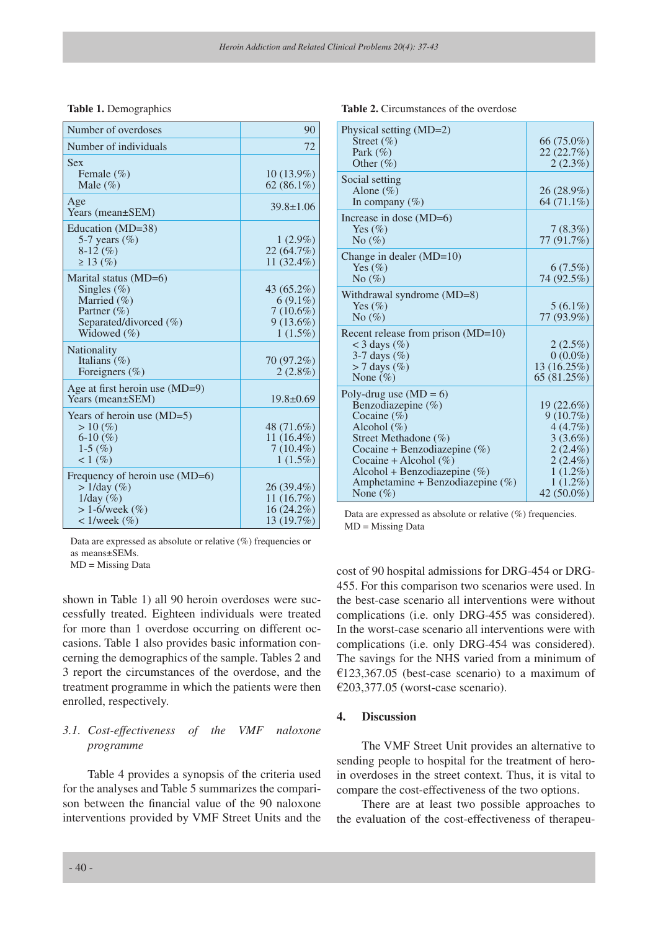#### **Table 1.** Demographics

| Number of overdoses                                                                                                   | 90                                                                   |
|-----------------------------------------------------------------------------------------------------------------------|----------------------------------------------------------------------|
| Number of individuals                                                                                                 | 72                                                                   |
| <b>Sex</b><br>Female $(\% )$<br>Male $(\%)$                                                                           | $10(13.9\%)$<br>62 $(86.1\%)$                                        |
| Age<br>Years (mean±SEM)                                                                                               | $39.8 \pm 1.06$                                                      |
| Education (MD=38)<br>5-7 years $(\%)$<br>$8-12(%)$<br>$\geq$ 13 (%)                                                   | $1(2.9\%)$<br>22 (64.7%)<br>11 $(32.4\%)$                            |
| Marital status (MD=6)<br>Singles $(\%)$<br>Married (%)<br>Partner (%)<br>Separated/divorced $(\% )$<br>Widowed $(\%)$ | 43 (65.2%)<br>$6(9.1\%)$<br>$7(10.6\%)$<br>$9(13.6\%)$<br>$1(1.5\%)$ |
| Nationality<br>Italians $(\% )$<br>Foreigners (%)                                                                     | 70 (97.2%)<br>$2(2.8\%)$                                             |
| Age at first heroin use $(MD=9)$<br>Years (mean±SEM)                                                                  | $19.8 \pm 0.69$                                                      |
| Years of heroin use $(MD=5)$<br>>10(%<br>6-10 $(\% )$<br>1-5 $(\% )$<br>1 (%)                                         | 48 (71.6%)<br>11 $(16.4\%)$<br>$7(10.4\%)$<br>$1(1.5\%)$             |
| Frequency of heroin use $(MD=6)$<br>$>1$ /day (%)<br>$1$ /day $(\%)$<br>$> 1 - 6$ /week (%)<br>$\langle 1/week (\%)$  | $26(39.4\%)$<br>11(16.7%)<br>16 (24.2%)<br>13 (19.7%)                |

Data are expressed as absolute or relative  $(\%)$  frequencies or as means±SEMs.

MD = Missing Data

shown in Table 1) all 90 heroin overdoses were successfully treated. Eighteen individuals were treated for more than 1 overdose occurring on different occasions. Table 1 also provides basic information concerning the demographics of the sample. Tables 2 and 3 report the circumstances of the overdose, and the treatment programme in which the patients were then enrolled, respectively.

# *3.1. Cost-effectiveness of the VMF naloxone programme*

Table 4 provides a synopsis of the criteria used for the analyses and Table 5 summarizes the comparison between the financial value of the 90 naloxone interventions provided by VMF Street Units and the

| 90 | Physical setting (MD=2) |  |
|----|-------------------------|--|
|    | Street $(\% )$          |  |

Table 2. Circumstances of the overdose

| Physical setting (MD=2)             |             |
|-------------------------------------|-------------|
| Street $(\% )$                      | 66 (75.0%)  |
| Park $(\%)$                         | 22 (22.7%)  |
| Other $(\% )$                       | 2(2.3%)     |
|                                     |             |
| Social setting                      |             |
| Alone $(\% )$                       | 26 (28.9%)  |
| In company $(\% )$                  | 64 (71.1%)  |
| Increase in dose $(MD=6)$           |             |
| Yes $(\%)$                          | 7(8.3%)     |
| No $(\%)$                           | 77 (91.7%)  |
| Change in dealer $(MD=10)$          |             |
| Yes $(\%)$                          | $6(7.5\%)$  |
|                                     |             |
| No $(\%)$                           | 74 (92.5%)  |
| Withdrawal syndrome (MD=8)          |             |
| Yes $(\%)$                          | $5(6.1\%)$  |
| No $(\%)$                           | 77 (93.9%)  |
|                                     |             |
| Recent release from prison (MD=10)  |             |
| $<$ 3 days (%)                      | $2(2.5\%)$  |
| 3-7 days $(\%)$                     | $0(0.0\%)$  |
| $>$ 7 days $(\%)$                   | 13 (16.25%) |
| None $(\% )$                        | 65 (81.25%) |
| Poly-drug use $(MD = 6)$            |             |
| Benzodiazepine $(\% )$              | 19(22.6%)   |
| Cocaine $(\% )$                     | $9(10.7\%)$ |
| Alcohol $(\%)$                      | 4(4.7%)     |
| Street Methadone (%)                | $3(3.6\%)$  |
| Cocaine + Benzodiazepine $(\%)$     | $2(2.4\%)$  |
| Cocaine + Alcohol $(\%)$            | $2(2.4\%)$  |
|                                     |             |
| Alcohol + Benzodiazepine $(\% )$    | $1(1.2\%)$  |
| Amphetamine + Benzodiazepine $(\%)$ | $1(1.2\%)$  |
| None $(\% )$                        | 42 (50.0%)  |

Data are expressed as absolute or relative (%) frequencies. MD = Missing Data

cost of 90 hospital admissions for DRG-454 or DRG-455. For this comparison two scenarios were used. In the best-case scenario all interventions were without complications (i.e. only DRG-455 was considered). In the worst-case scenario all interventions were with complications (i.e. only DRG-454 was considered). The savings for the NHS varied from a minimum of  $£123,367.05$  (best-case scenario) to a maximum of €203,377.05 (worst-case scenario).

#### **4. Discussion**

The VMF Street Unit provides an alternative to sending people to hospital for the treatment of heroin overdoses in the street context. Thus, it is vital to compare the cost-effectiveness of the two options.

There are at least two possible approaches to the evaluation of the cost-effectiveness of therapeu-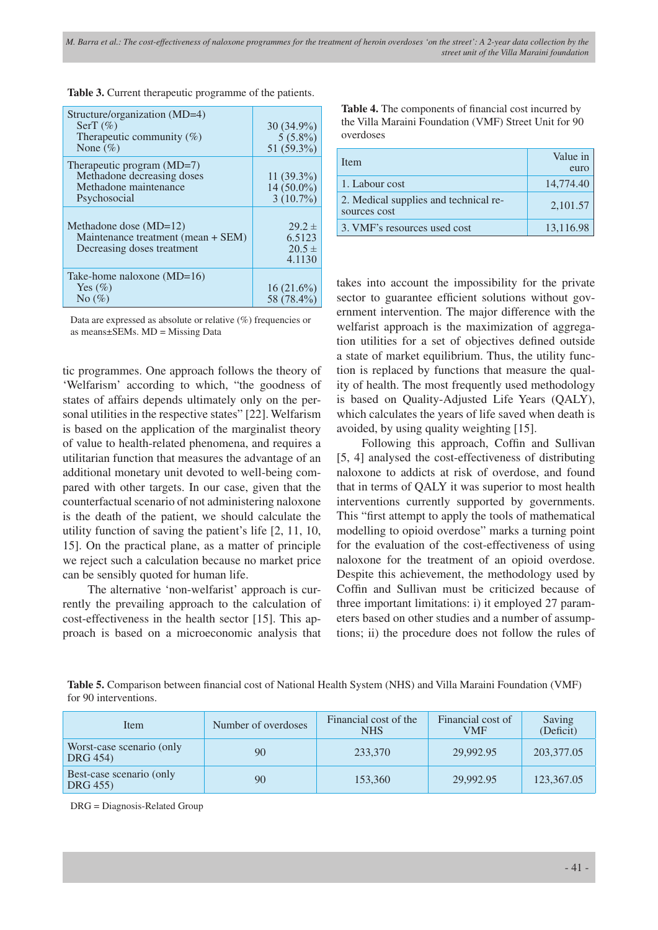| Structure/organization (MD=4)<br>SerT $(\% )$<br>Therapeutic community $(\%)$<br>None $(\%)$        | 30 (34.9%)<br>$5(5.8\%)$<br>51 (59.3%)       |
|-----------------------------------------------------------------------------------------------------|----------------------------------------------|
| Therapeutic program $(MD=7)$<br>Methadone decreasing doses<br>Methadone maintenance<br>Psychosocial | $11(39.3\%)$<br>$14(50.0\%)$<br>$3(10.7\%)$  |
| Methadone dose $(MD=12)$<br>Maintenance treatment (mean + SEM)<br>Decreasing doses treatment        | $29.2 \pm$<br>6.5123<br>$20.5 \pm$<br>4.1130 |
| Take-home naloxone $(MD=16)$<br>Yes $(\%)$<br>No $(\%)$                                             | $16(21.6\%)$<br>58 (78.4%)                   |

**Table 3.** Current therapeutic programme of the patients.

Data are expressed as absolute or relative (%) frequencies or as means±SEMs. MD = Missing Data

tic programmes. One approach follows the theory of 'Welfarism' according to which, "the goodness of states of affairs depends ultimately only on the personal utilities in the respective states" [22]. Welfarism is based on the application of the marginalist theory of value to health-related phenomena, and requires a utilitarian function that measures the advantage of an additional monetary unit devoted to well-being compared with other targets. In our case, given that the counterfactual scenario of not administering naloxone is the death of the patient, we should calculate the utility function of saving the patient's life [2, 11, 10, 15]. On the practical plane, as a matter of principle we reject such a calculation because no market price can be sensibly quoted for human life.

The alternative 'non-welfarist' approach is currently the prevailing approach to the calculation of cost-effectiveness in the health sector [15]. This approach is based on a microeconomic analysis that **Table 4.** The components of financial cost incurred by the Villa Maraini Foundation (VMF) Street Unit for 90 overdoses

| <b>I</b> tem                                          | Value in<br>euro |
|-------------------------------------------------------|------------------|
| 1. Labour cost                                        | 14,774.40        |
| 2. Medical supplies and technical re-<br>sources cost | 2,101.57         |
| 3. VMF's resources used cost                          | 13,116.98        |

takes into account the impossibility for the private sector to guarantee efficient solutions without government intervention. The major difference with the welfarist approach is the maximization of aggregation utilities for a set of objectives defined outside a state of market equilibrium. Thus, the utility function is replaced by functions that measure the quality of health. The most frequently used methodology is based on Quality-Adjusted Life Years (QALY), which calculates the years of life saved when death is avoided, by using quality weighting [15].

Following this approach, Coffin and Sullivan [5, 4] analysed the cost-effectiveness of distributing naloxone to addicts at risk of overdose, and found that in terms of QALY it was superior to most health interventions currently supported by governments. This "first attempt to apply the tools of mathematical modelling to opioid overdose" marks a turning point for the evaluation of the cost-effectiveness of using naloxone for the treatment of an opioid overdose. Despite this achievement, the methodology used by Coffin and Sullivan must be criticized because of three important limitations: i) it employed 27 parameters based on other studies and a number of assumptions; ii) the procedure does not follow the rules of

**Table 5.** Comparison between financial cost of National Health System (NHS) and Villa Maraini Foundation (VMF) for 90 interventions.

| Item                                  | Number of overdoses | Financial cost of the<br><b>NHS</b> | Financial cost of<br>VMF | Saving<br>(Deficit) |
|---------------------------------------|---------------------|-------------------------------------|--------------------------|---------------------|
| Worst-case scenario (only<br>DRG 454) | 90                  | 233,370                             | 29.992.95                | 203,377.05          |
| Best-case scenario (only<br>DRG 455)  | 90                  | 153,360                             | 29,992.95                | 123,367.05          |

DRG = Diagnosis-Related Group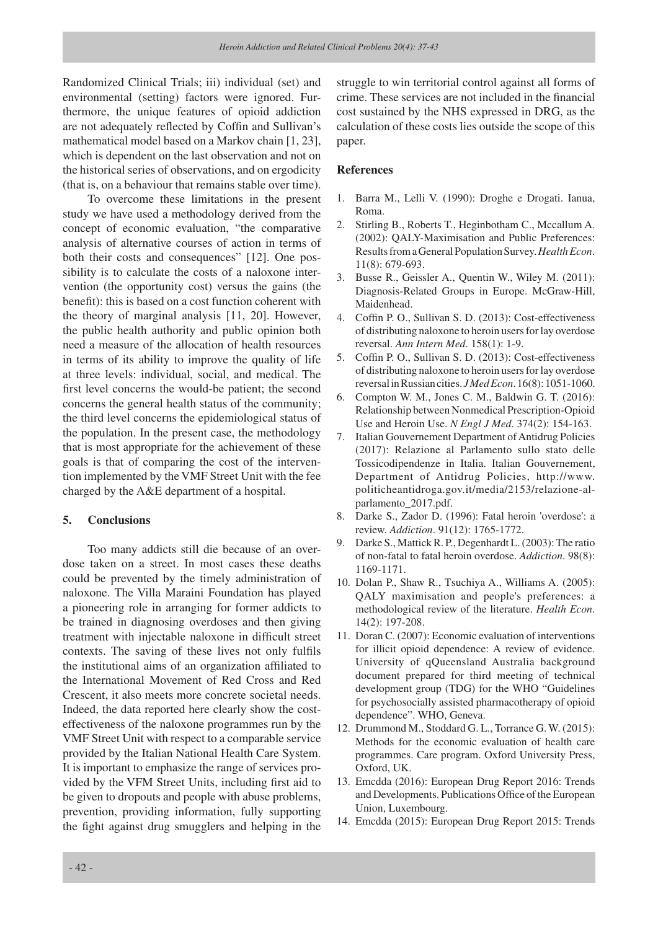Randomized Clinical Trials; iii) individual (set) and environmental (setting) factors were ignored. Furthermore, the unique features of opioid addiction are not adequately reflected by Coffin and Sullivan's mathematical model based on a Markov chain [1, 23], which is dependent on the last observation and not on the historical series of observations, and on ergodicity (that is, on a behaviour that remains stable over time).

To overcome these limitations in the present study we have used a methodology derived from the concept of economic evaluation, "the comparative analysis of alternative courses of action in terms of both their costs and consequences" [12]. One possibility is to calculate the costs of a naloxone intervention (the opportunity cost) versus the gains (the benefit): this is based on a cost function coherent with the theory of marginal analysis [11, 20]. However, the public health authority and public opinion both need a measure of the allocation of health resources in terms of its ability to improve the quality of life at three levels: individual, social, and medical. The first level concerns the would-be patient; the second concerns the general health status of the community; the third level concerns the epidemiological status of the population. In the present case, the methodology that is most appropriate for the achievement of these goals is that of comparing the cost of the intervention implemented by the VMF Street Unit with the fee charged by the A&E department of a hospital.

#### **5. Conclusions**

Too many addicts still die because of an overdose taken on a street. In most cases these deaths could be prevented by the timely administration of naloxone. The Villa Maraini Foundation has played a pioneering role in arranging for former addicts to be trained in diagnosing overdoses and then giving treatment with injectable naloxone in difficult street contexts. The saving of these lives not only fulfils the institutional aims of an organization affiliated to the International Movement of Red Cross and Red Crescent, it also meets more concrete societal needs. Indeed, the data reported here clearly show the costeffectiveness of the naloxone programmes run by the VMF Street Unit with respect to a comparable service provided by the Italian National Health Care System. It is important to emphasize the range of services provided by the VFM Street Units, including first aid to be given to dropouts and people with abuse problems, prevention, providing information, fully supporting the fight against drug smugglers and helping in the

struggle to win territorial control against all forms of crime. These services are not included in the financial cost sustained by the NHS expressed in DRG, as the calculation of these costs lies outside the scope of this paper.

#### **References**

- 1. Barra M., Lelli V. (1990): Droghe e Drogati. Ianua, Roma.
- 2. Stirling B., Roberts T., Heginbotham C., Mccallum A. (2002): QALY-Maximisation and Public Preferences: Results from a General Population Survey. *Health Econ*. 11(8): 679-693.
- 3. Busse R., Geissler A., Quentin W., Wiley M. (2011): Diagnosis-Related Groups in Europe. McGraw-Hill, Maidenhead.
- 4. Coffin P. O., Sullivan S. D. (2013): Cost-effectiveness of distributing naloxone to heroin users for lay overdose reversal. *Ann Intern Med*. 158(1): 1-9.
- 5. Coffin P. O., Sullivan S. D. (2013): Cost-effectiveness of distributing naloxone to heroin users for lay overdose reversal in Russian cities. *J Med Econ*. 16(8): 1051-1060.
- 6. Compton W. M., Jones C. M., Baldwin G. T. (2016): Relationship between Nonmedical Prescription-Opioid Use and Heroin Use. *N Engl J Med*. 374(2): 154-163.
- 7. Italian Gouvernement Department of Antidrug Policies (2017): Relazione al Parlamento sullo stato delle Tossicodipendenze in Italia. Italian Gouvernement, Department of Antidrug Policies, http://www. politicheantidroga.gov.it/media/2153/relazione-alparlamento\_2017.pdf.
- 8. Darke S., Zador D. (1996): Fatal heroin 'overdose': a review. *Addiction*. 91(12): 1765-1772.
- 9. Darke S., Mattick R. P., Degenhardt L. (2003): The ratio of non-fatal to fatal heroin overdose. *Addiction*. 98(8): 1169-1171.
- 10. Dolan P., Shaw R., Tsuchiya A., Williams A. (2005): QALY maximisation and people's preferences: a methodological review of the literature. *Health Econ*. 14(2): 197-208.
- 11. Doran C. (2007): Economic evaluation of interventions for illicit opioid dependence: A review of evidence. University of qQueensland Australia background document prepared for third meeting of technical development group (TDG) for the WHO "Guidelines for psychosocially assisted pharmacotherapy of opioid dependence". WHO, Geneva.
- 12. Drummond M., Stoddard G. L., Torrance G. W. (2015): Methods for the economic evaluation of health care programmes. Care program. Oxford University Press, Oxford, UK.
- 13. Emcdda (2016): European Drug Report 2016: Trends and Developments. Publications Office of the European Union, Luxembourg.
- 14. Emcdda (2015): European Drug Report 2015: Trends